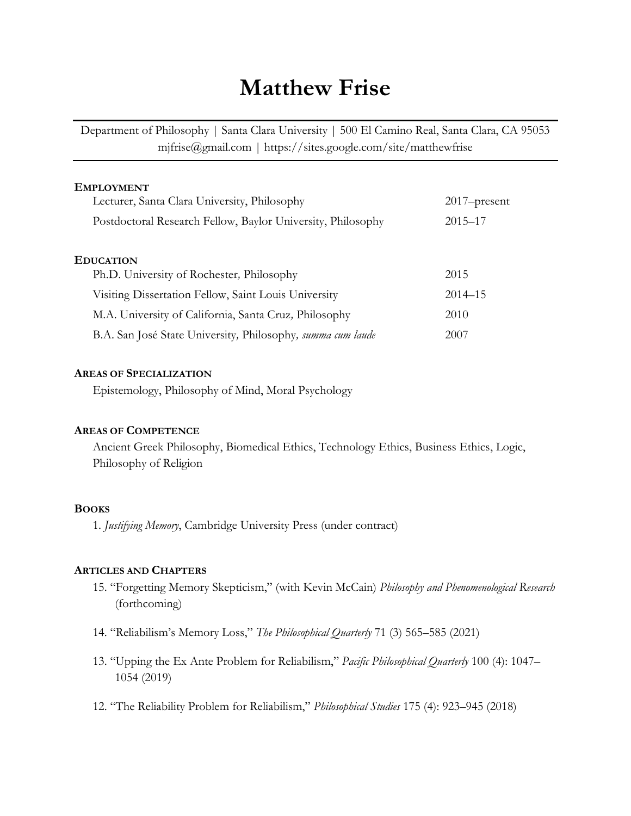# **Matthew Frise**

Department of Philosophy | Santa Clara University | 500 El Camino Real, Santa Clara, CA 95053 mjfrise@gmail.com | https://sites.google.com/site/matthewfrise

| <b>EMPLOYMENT</b>                                           |                 |  |  |  |
|-------------------------------------------------------------|-----------------|--|--|--|
| Lecturer, Santa Clara University, Philosophy                | $2017$ -present |  |  |  |
| Postdoctoral Research Fellow, Baylor University, Philosophy | $2015 - 17$     |  |  |  |
|                                                             |                 |  |  |  |
| <b>EDUCATION</b>                                            |                 |  |  |  |
| Ph.D. University of Rochester, Philosophy                   | 2015            |  |  |  |
| Visiting Dissertation Fellow, Saint Louis University        | $2014 - 15$     |  |  |  |
| M.A. University of California, Santa Cruz, Philosophy       | 2010            |  |  |  |
| B.A. San José State University, Philosophy, summa cum laude | 2007            |  |  |  |

#### **AREAS OF SPECIALIZATION**

Epistemology, Philosophy of Mind, Moral Psychology

### **AREAS OF COMPETENCE**

Ancient Greek Philosophy, Biomedical Ethics, Technology Ethics, Business Ethics, Logic, Philosophy of Religion

### **BOOKS**

1. *Justifying Memory*, Cambridge University Press (under contract)

#### **ARTICLES AND CHAPTERS**

- 15. "Forgetting Memory Skepticism," (with Kevin McCain) *Philosophy and Phenomenological Research* (forthcoming)
- 14. "Reliabilism's Memory Loss," *The Philosophical Quarterly* 71 (3) 565–585 (2021)
- 13. "Upping the Ex Ante Problem for Reliabilism," *Pacific Philosophical Quarterly* 100 (4): 1047– 1054 (2019)
- 12. "The Reliability Problem for Reliabilism," *Philosophical Studies* 175 (4): 923–945 (2018)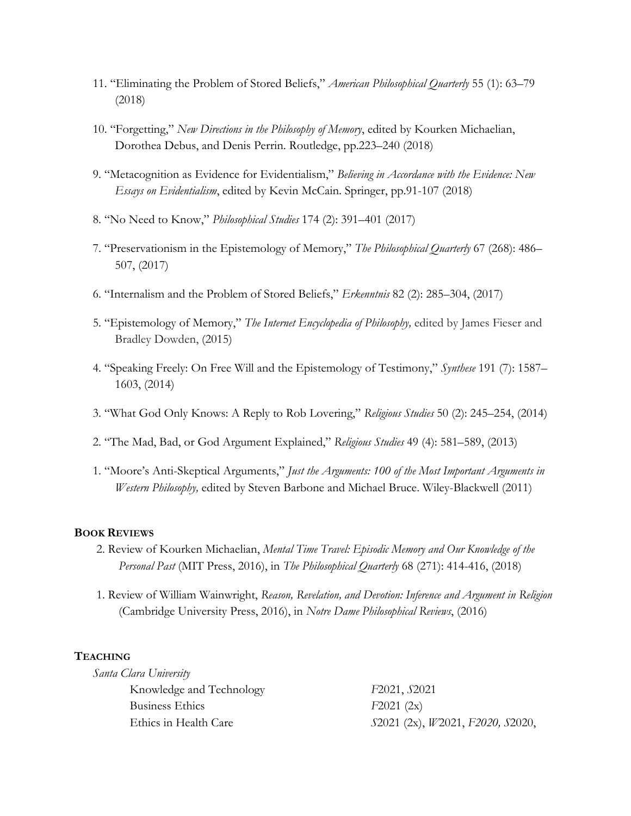- 11. "Eliminating the Problem of Stored Beliefs," *American Philosophical Quarterly* 55 (1): 63–79 (2018)
- 10. "Forgetting," *New Directions in the Philosophy of Memory*, edited by Kourken Michaelian, Dorothea Debus, and Denis Perrin. Routledge, pp.223–240 (2018)
- 9. "Metacognition as Evidence for Evidentialism," *Believing in Accordance with the Evidence: New Essays on Evidentialism*, edited by Kevin McCain. Springer, pp.91-107 (2018)
- 8. "No Need to Know," *Philosophical Studies* 174 (2): 391–401 (2017)
- 7. "Preservationism in the Epistemology of Memory," *The Philosophical Quarterly* 67 (268): 486– 507, (2017)
- 6. "Internalism and the Problem of Stored Beliefs," *Erkenntnis* 82 (2): 285–304, (2017)
- 5. "Epistemology of Memory," *The Internet Encyclopedia of Philosophy,* edited by James Fieser and Bradley Dowden, (2015)
- 4. "Speaking Freely: On Free Will and the Epistemology of Testimony," *Synthese* 191 (7): 1587– 1603, (2014)
- 3. "What God Only Knows: A Reply to Rob Lovering," *Religious Studies* 50 (2): 245–254, (2014)
- 2. "The Mad, Bad, or God Argument Explained," *Religious Studies* 49 (4): 581–589, (2013)
- 1. "Moore's Anti-Skeptical Arguments," *Just the Arguments: 100 of the Most Important Arguments in Western Philosophy,* edited by Steven Barbone and Michael Bruce. Wiley-Blackwell (2011)

#### **BOOK REVIEWS**

- 2. Review of Kourken Michaelian, *Mental Time Travel: Episodic Memory and Our Knowledge of the Personal Past* (MIT Press, 2016), in *The Philosophical Quarterly* 68 (271): 414-416, (2018)
- 1. Review of William Wainwright, *Reason, Revelation, and Devotion: Inference and Argument in Religion* (Cambridge University Press, 2016), in *Notre Dame Philosophical Reviews*, (2016)

## **TEACHING**

| Santa Clara University   |                                  |
|--------------------------|----------------------------------|
| Knowledge and Technology | F2021, S2021                     |
| Business Ethics          | F2021(2x)                        |
| Ethics in Health Care    | S2021 (2x), W2021, F2020, S2020, |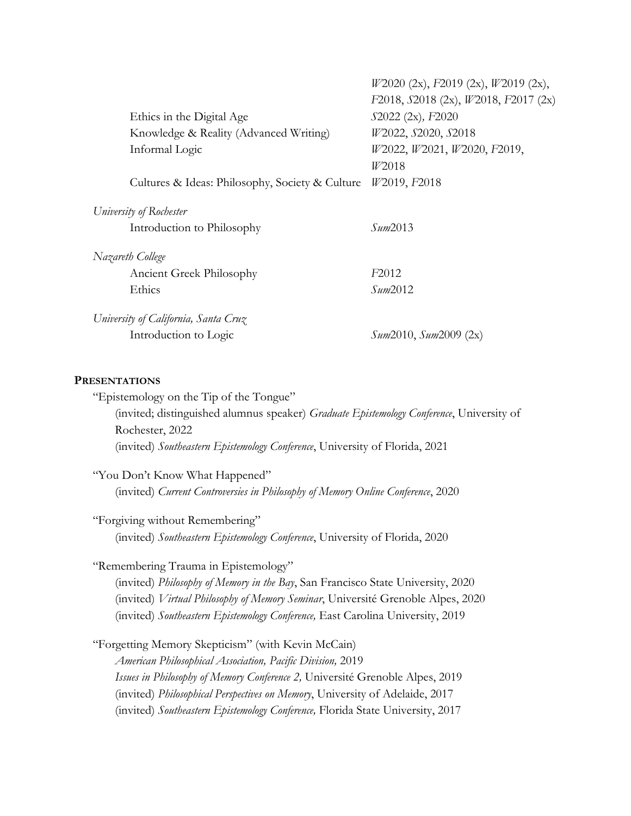|                                                 | $W2020$ (2x), F2019 (2x), $W2019$ (2x),        |
|-------------------------------------------------|------------------------------------------------|
|                                                 | $F2018$ , $S2018$ (2x), $W2018$ , $F2017$ (2x) |
| Ethics in the Digital Age                       | S2022 (2x), F2020                              |
| Knowledge & Reality (Advanced Writing)          | W2022, S2020, S2018                            |
| Informal Logic                                  | W2022, W2021, W2020, F2019,                    |
|                                                 | W <sub>2018</sub>                              |
| Cultures & Ideas: Philosophy, Society & Culture | W <sub>2019</sub> , F <sub>2018</sub>          |
| University of Rochester                         |                                                |
| Introduction to Philosophy                      | Sum2013                                        |
| Nazareth College                                |                                                |
| Ancient Greek Philosophy                        | F <sub>2012</sub>                              |
| Ethics                                          | Sum2012                                        |
| University of California, Santa Cruz            |                                                |
| Introduction to Logic                           | <i>Sum</i> 2010, <i>Sum</i> 2009 (2x)          |

#### **PRESENTATIONS**

"Epistemology on the Tip of the Tongue"

(invited; distinguished alumnus speaker) *Graduate Epistemology Conference*, University of Rochester, 2022 (invited) *Southeastern Epistemology Conference*, University of Florida, 2021

"You Don't Know What Happened" (invited) *Current Controversies in Philosophy of Memory Online Conference*, 2020

"Forgiving without Remembering" (invited) *Southeastern Epistemology Conference*, University of Florida, 2020

"Remembering Trauma in Epistemology"

(invited) *Philosophy of Memory in the Bay*, San Francisco State University, 2020 (invited) *Virtual Philosophy of Memory Seminar*, Université Grenoble Alpes, 2020 (invited) *Southeastern Epistemology Conference,* East Carolina University, 2019

"Forgetting Memory Skepticism" (with Kevin McCain) *American Philosophical Association, Pacific Division,* 2019 *Issues in Philosophy of Memory Conference 2,* Université Grenoble Alpes, 2019 (invited) *Philosophical Perspectives on Memory*, University of Adelaide, 2017 (invited) *Southeastern Epistemology Conference,* Florida State University, 2017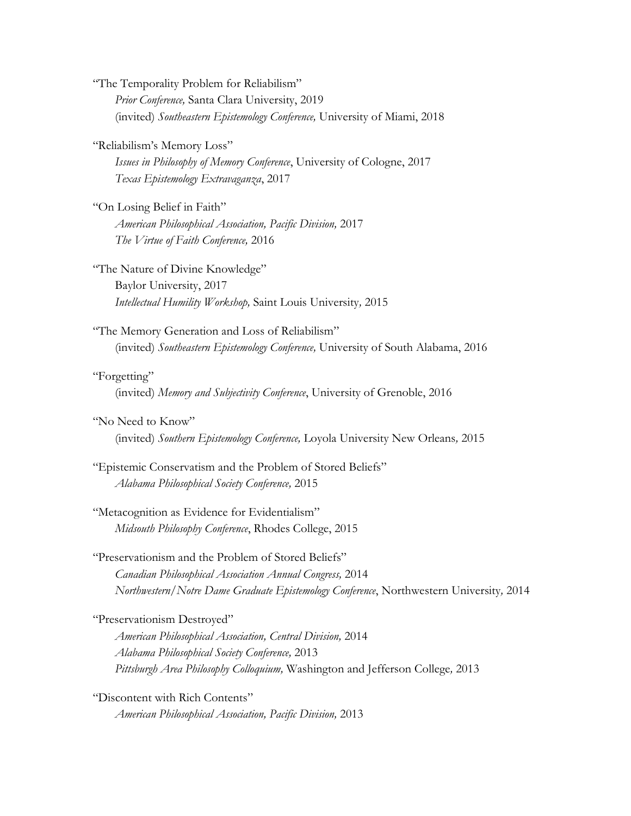"The Temporality Problem for Reliabilism" *Prior Conference,* Santa Clara University, 2019 (invited) *Southeastern Epistemology Conference,* University of Miami, 2018

"Reliabilism's Memory Loss"

*Issues in Philosophy of Memory Conference*, University of Cologne, 2017 *Texas Epistemology Extravaganza*, 2017

"On Losing Belief in Faith" *American Philosophical Association, Pacific Division,* 2017 *The Virtue of Faith Conference,* 2016

"The Nature of Divine Knowledge" Baylor University, 2017 *Intellectual Humility Workshop,* Saint Louis University*,* 2015

"The Memory Generation and Loss of Reliabilism" (invited) *Southeastern Epistemology Conference,* University of South Alabama, 2016

### "Forgetting"

(invited) *Memory and Subjectivity Conference*, University of Grenoble, 2016

# "No Need to Know"

(invited) *Southern Epistemology Conference,* Loyola University New Orleans*,* 2015

# "Epistemic Conservatism and the Problem of Stored Beliefs" *Alabama Philosophical Society Conference,* 2015

# "Metacognition as Evidence for Evidentialism" *Midsouth Philosophy Conference*, Rhodes College, 2015

#### "Preservationism and the Problem of Stored Beliefs"

*Canadian Philosophical Association Annual Congress,* 2014 *Northwestern/Notre Dame Graduate Epistemology Conference*, Northwestern University*,* 2014

# "Preservationism Destroyed"

*American Philosophical Association, Central Division,* 2014 *Alabama Philosophical Society Conference,* 2013 *Pittsburgh Area Philosophy Colloquium,* Washington and Jefferson College*,* 2013

"Discontent with Rich Contents" *American Philosophical Association, Pacific Division,* 2013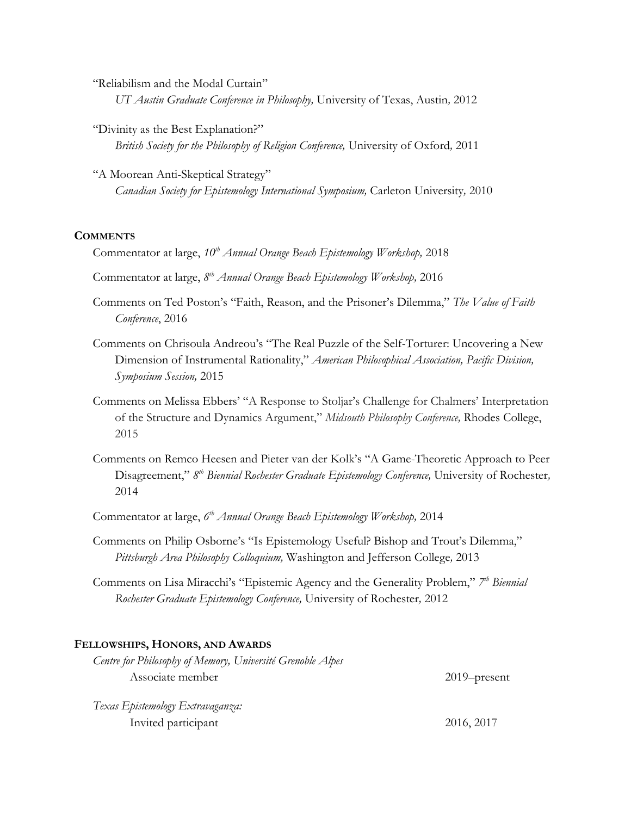"Reliabilism and the Modal Curtain" *UT Austin Graduate Conference in Philosophy,* University of Texas, Austin*,* 2012

- "Divinity as the Best Explanation?" *British Society for the Philosophy of Religion Conference,* University of Oxford*,* 2011
- "A Moorean Anti-Skeptical Strategy" *Canadian Society for Epistemology International Symposium,* Carleton University*,* 2010

#### **COMMENTS**

- Commentator at large, *10th Annual Orange Beach Epistemology Workshop,* 2018
- Commentator at large, *8 th Annual Orange Beach Epistemology Workshop,* 2016
- Comments on Ted Poston's "Faith, Reason, and the Prisoner's Dilemma," *The Value of Faith Conference*, 2016
- Comments on Chrisoula Andreou's "The Real Puzzle of the Self-Torturer: Uncovering a New Dimension of Instrumental Rationality," *American Philosophical Association, Pacific Division, Symposium Session,* 2015
- Comments on Melissa Ebbers' "A Response to Stoljar's Challenge for Chalmers' Interpretation of the Structure and Dynamics Argument," *Midsouth Philosophy Conference,* Rhodes College, 2015
- Comments on Remco Heesen and Pieter van der Kolk's "A Game-Theoretic Approach to Peer Disagreement," 8<sup>th</sup> Biennial Rochester Graduate Epistemology Conference, University of Rochester, 2014
- Commentator at large, *6 th Annual Orange Beach Epistemology Workshop,* 2014
- Comments on Philip Osborne's "Is Epistemology Useful? Bishop and Trout's Dilemma," *Pittsburgh Area Philosophy Colloquium,* Washington and Jefferson College*,* 2013
- Comments on Lisa Miracchi's "Epistemic Agency and the Generality Problem," *7 th Biennial Rochester Graduate Epistemology Conference,* University of Rochester*,* 2012

#### **FELLOWSHIPS, HONORS, AND AWARDS**

| Centre for Philosophy of Memory, Université Grenoble Alpes |                 |
|------------------------------------------------------------|-----------------|
| Associate member                                           | $2019$ -present |
| Texas Epistemology Extravaganza:                           |                 |

Invited participant 2016, 2017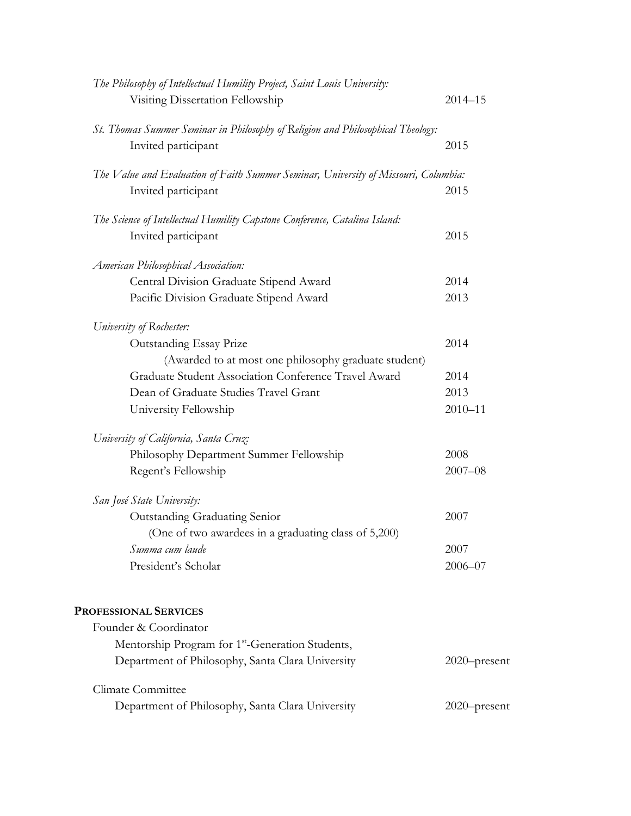| The Philosophy of Intellectual Humility Project, Saint Louis University:<br>Visiting Dissertation Fellowship | $2014 - 15$  |
|--------------------------------------------------------------------------------------------------------------|--------------|
| St. Thomas Summer Seminar in Philosophy of Religion and Philosophical Theology:<br>Invited participant       | 2015         |
| The Value and Evaluation of Faith Summer Seminar, University of Missouri, Columbia:                          |              |
| Invited participant                                                                                          | 2015         |
| The Science of Intellectual Humility Capstone Conference, Catalina Island:                                   |              |
| Invited participant                                                                                          | 2015         |
| American Philosophical Association:                                                                          |              |
| Central Division Graduate Stipend Award                                                                      | 2014         |
| Pacific Division Graduate Stipend Award                                                                      | 2013         |
| University of Rochester:                                                                                     |              |
| <b>Outstanding Essay Prize</b>                                                                               | 2014         |
| (Awarded to at most one philosophy graduate student)                                                         |              |
| Graduate Student Association Conference Travel Award                                                         | 2014         |
| Dean of Graduate Studies Travel Grant                                                                        | 2013         |
| University Fellowship                                                                                        | $2010 - 11$  |
| University of California, Santa Cruz:                                                                        |              |
| Philosophy Department Summer Fellowship                                                                      | 2008         |
| Regent's Fellowship                                                                                          | $2007 - 08$  |
| San José State University:                                                                                   |              |
| Outstanding Graduating Senior                                                                                | 2007         |
| (One of two awardees in a graduating class of 5,200)                                                         |              |
| Summa cum laude                                                                                              | 2007         |
| President's Scholar                                                                                          | $2006 - 07$  |
| <b>PROFESSIONAL SERVICES</b>                                                                                 |              |
| Founder & Coordinator                                                                                        |              |
| Mentorship Program for 1 <sup>st</sup> -Generation Students,                                                 |              |
| Department of Philosophy, Santa Clara University                                                             | 2020-present |
| Climate Committee                                                                                            |              |
| Department of Philosophy, Santa Clara University                                                             | 2020-present |
|                                                                                                              |              |